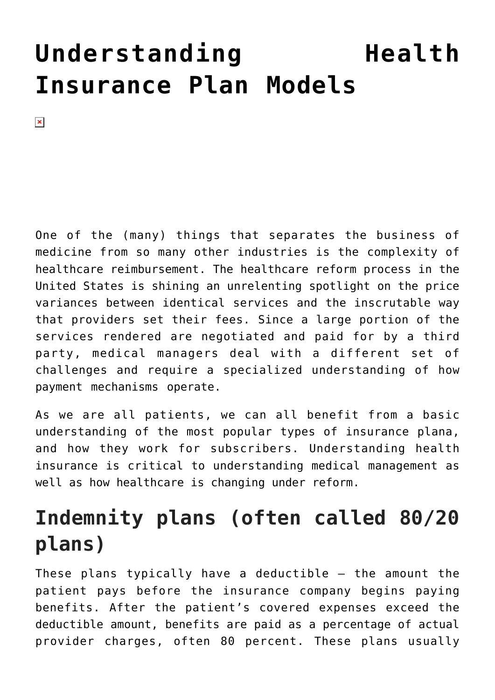# **[Understanding Health](https://managemypractice.com/understanding-health-insurance-plan-models/) [Insurance Plan Models](https://managemypractice.com/understanding-health-insurance-plan-models/)**

 $\pmb{\times}$ 

One of the (many) things that separates the business of medicine from so many other industries is the complexity of healthcare reimbursement. The healthcare reform process in the United States is shining an unrelenting spotlight on the price variances between identical services and the inscrutable way that providers set their fees. Since a large portion of the services rendered are negotiated and paid for by a third party, medical managers deal with a different set of challenges and require a specialized understanding of how payment mechanisms operate.

As we are all patients, we can all benefit from a basic understanding of the most popular types of insurance plana, and how they work for subscribers. Understanding health insurance is critical to understanding medical management as well as how healthcare is changing under reform.

# **Indemnity plans (often called 80/20 plans)**

These plans typically have a deductible – the amount the patient pays before the insurance company begins paying benefits. After the patient's covered expenses exceed the deductible amount, benefits are paid as a percentage of actual provider charges, often 80 percent. These plans usually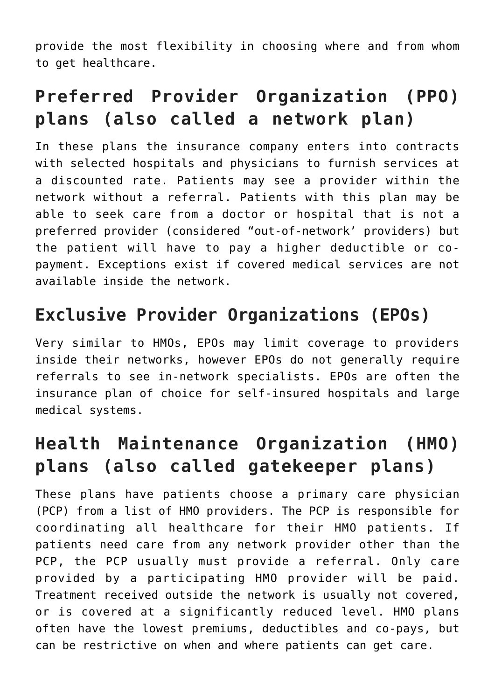provide the most flexibility in choosing where and from whom to get healthcare.

# **Preferred Provider Organization (PPO) plans (also called a network plan)**

In these plans the insurance company enters into contracts with selected hospitals and physicians to furnish services at a discounted rate. Patients may see a provider within the network without a referral. Patients with this plan may be able to seek care from a doctor or hospital that is not a preferred provider (considered "out-of-network' providers) but the patient will have to pay a higher deductible or copayment. Exceptions exist if covered medical services are not available inside the network.

#### **Exclusive Provider Organizations (EPOs)**

Very similar to HMOs, EPOs may limit coverage to providers inside their networks, however EPOs do not generally require referrals to see in-network specialists. EPOs are often the insurance plan of choice for self-insured hospitals and large medical systems.

# **Health Maintenance Organization (HMO) plans (also called gatekeeper plans)**

These plans have patients choose a primary care physician (PCP) from a list of HMO providers. The PCP is responsible for coordinating all healthcare for their HMO patients. If patients need care from any network provider other than the PCP, the PCP usually must provide a referral. Only care provided by a participating HMO provider will be paid. Treatment received outside the network is usually not covered, or is covered at a significantly reduced level. HMO plans often have the lowest premiums, deductibles and co-pays, but can be restrictive on when and where patients can get care.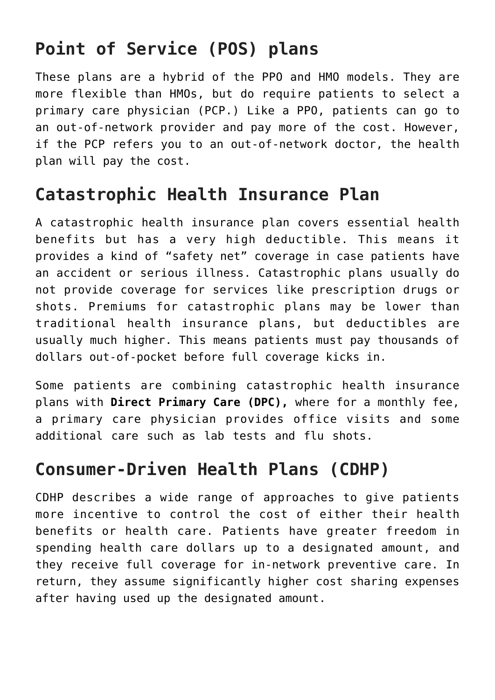# **Point of Service (POS) plans**

These plans are a hybrid of the PPO and HMO models. They are more flexible than HMOs, but do require patients to select a primary care physician (PCP.) Like a PPO, patients can go to an out-of-network provider and pay more of the cost. However, if the PCP refers you to an out-of-network doctor, the health plan will pay the cost.

#### **Catastrophic Health Insurance Plan**

A catastrophic health insurance plan covers essential health benefits but has a very high deductible. This means it provides a kind of "safety net" coverage in case patients have an accident or serious illness. Catastrophic plans usually do not provide coverage for services like prescription drugs or shots. Premiums for catastrophic plans may be lower than traditional health insurance plans, but deductibles are usually much higher. This means patients must pay thousands of dollars out-of-pocket before full coverage kicks in.

Some patients are combining catastrophic health insurance plans with **Direct Primary Care (DPC),** where for a monthly fee, a primary care physician provides office visits and some additional care such as lab tests and flu shots.

#### **Consumer-Driven Health Plans (CDHP)**

CDHP describes a wide range of approaches to give patients more incentive to control the cost of either their health benefits or health care. Patients have greater freedom in spending health care dollars up to a designated amount, and they receive full coverage for in-network preventive care. In return, they assume significantly higher cost sharing expenses after having used up the designated amount.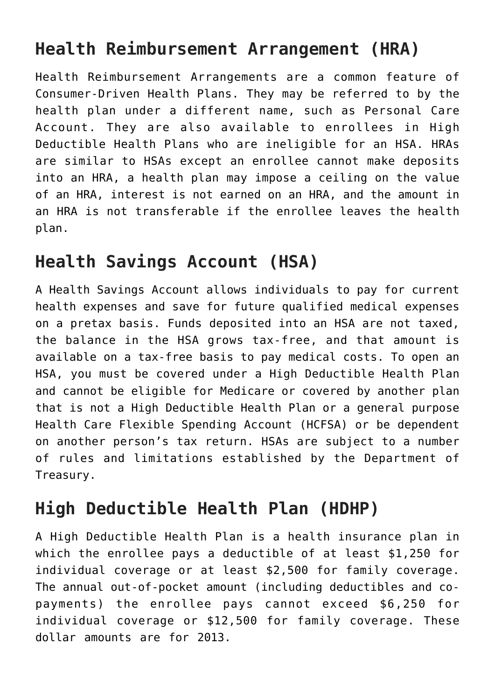### **Health Reimbursement Arrangement (HRA)**

Health Reimbursement Arrangements are a common feature of Consumer-Driven Health Plans. They may be referred to by the health plan under a different name, such as Personal Care Account. They are also available to enrollees in High Deductible Health Plans who are ineligible for an HSA. HRAs are similar to HSAs except an enrollee cannot make deposits into an HRA, a health plan may impose a ceiling on the value of an HRA, interest is not earned on an HRA, and the amount in an HRA is not transferable if the enrollee leaves the health plan.

#### **Health Savings Account (HSA)**

A Health Savings Account allows individuals to pay for current health expenses and save for future qualified medical expenses on a pretax basis. Funds deposited into an HSA are not taxed, the balance in the HSA grows tax-free, and that amount is available on a tax-free basis to pay medical costs. To open an HSA, you must be covered under a High Deductible Health Plan and cannot be eligible for Medicare or covered by another plan that is not a High Deductible Health Plan or a general purpose Health Care Flexible Spending Account (HCFSA) or be dependent on another person's tax return. HSAs are subject to a number of rules and limitations established by the Department of Treasury.

#### **High Deductible Health Plan (HDHP)**

A High Deductible Health Plan is a health insurance plan in which the enrollee pays a deductible of at least \$1,250 for individual coverage or at least \$2,500 for family coverage. The annual out-of-pocket amount (including deductibles and copayments) the enrollee pays cannot exceed \$6,250 for individual coverage or \$12,500 for family coverage. These dollar amounts are for 2013.